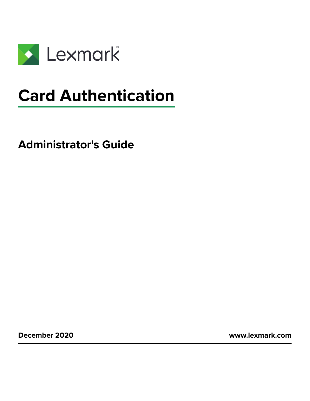

# **Card Authentication**

**Administrator's Guide**

**December 2020 [www.lexmark.com](http://www.lexmark.com)**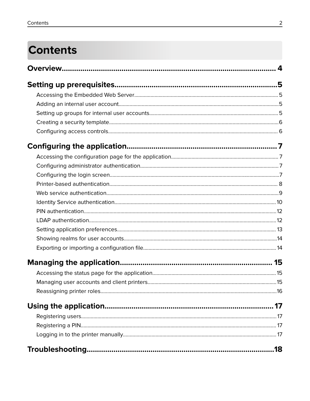# **Contents**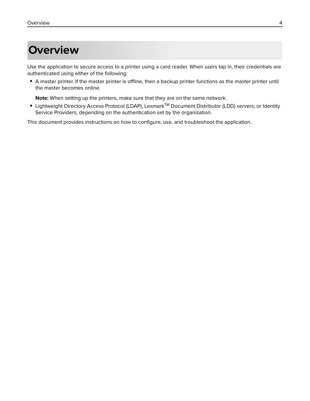# <span id="page-3-0"></span>**Overview**

Use the application to secure access to a printer using a card reader. When users tap in, their credentials are authenticated using either of the following:

**•** A master printer. If the master printer is offline, then a backup printer functions as the master printer until the master becomes online.

**Note:** When setting up the printers, make sure that they are on the same network.

**•** Lightweight Directory Access Protocol (LDAP), LexmarkTM Document Distributor (LDD) servers, or Identity Service Providers, depending on the authentication set by the organization.

This document provides instructions on how to configure, use, and troubleshoot the application.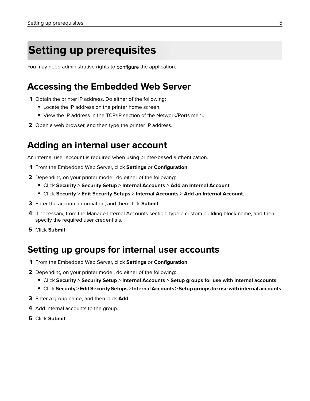# <span id="page-4-0"></span>**Setting up prerequisites**

You may need administrative rights to configure the application.

### **Accessing the Embedded Web Server**

- **1** Obtain the printer IP address. Do either of the following:
	- **•** Locate the IP address on the printer home screen.
	- **•** View the IP address in the TCP/IP section of the Network/Ports menu.
- **2** Open a web browser, and then type the printer IP address.

### **Adding an internal user account**

An internal user account is required when using printer-based authentication.

- **1** From the Embedded Web Server, click **Settings** or **Configuration**.
- **2** Depending on your printer model, do either of the following:
	- **•** Click **Security** > **Security Setup** > **Internal Accounts** > **Add an Internal Account**.
	- **•** Click **Security** > **Edit Security Setups** > **Internal Accounts** > **Add an Internal Account**.
- **3** Enter the account information, and then click **Submit**.
- **4** If necessary, from the Manage Internal Accounts section, type a custom building block name, and then specify the required user credentials.
- **5** Click **Submit**.

### **Setting up groups for internal user accounts**

- **1** From the Embedded Web Server, click **Settings** or **Configuration**.
- **2** Depending on your printer model, do either of the following:
	- **•** Click **Security** > **Security Setup** > **Internal Accounts** > **Setup groups for use with internal accounts**.
	- **•** Click **Security** > **Edit Security Setups** > **Internal Accounts** > **Setup groups for use with internal accounts**.
- **3** Enter a group name, and then click **Add**.
- **4** Add internal accounts to the group.
- **5** Click **Submit**.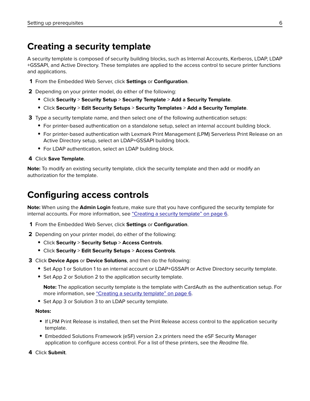## <span id="page-5-0"></span>**Creating a security template**

A security template is composed of security building blocks, such as Internal Accounts, Kerberos, LDAP, LDAP +GSSAPI, and Active Directory. These templates are applied to the access control to secure printer functions and applications.

**1** From the Embedded Web Server, click **Settings** or **Configuration**.

**2** Depending on your printer model, do either of the following:

- **•** Click **Security** > **Security Setup** > **Security Template** > **Add a Security Template**.
- **•** Click **Security** > **Edit Security Setups** > **Security Templates** > **Add a Security Template**.
- **3** Type a security template name, and then select one of the following authentication setups:
	- For printer-based authentication on a standalone setup, select an internal account building block.
	- **•** For printer‑based authentication with Lexmark Print Management (LPM) Serverless Print Release on an Active Directory setup, select an LDAP+GSSAPI building block.
	- **•** For LDAP authentication, select an LDAP building block.

#### **4** Click **Save Template**.

**Note:** To modify an existing security template, click the security template and then add or modify an authorization for the template.

### **Configuring access controls**

**Note:** When using the **Admin Login** feature, make sure that you have configured the security template for internal accounts. For more information, see "Creating a security template" on page 6.

- **1** From the Embedded Web Server, click **Settings** or **Configuration**.
- **2** Depending on your printer model, do either of the following:
	- **•** Click **Security** > **Security Setup** > **Access Controls**.
	- **•** Click **Security** > **Edit Security Setups** > **Access Controls**.
- **3** Click **Device Apps** or **Device Solutions**, and then do the following:
	- **•** Set App 1 or Solution 1 to an internal account or LDAP+GSSAPI or Active Directory security template.
	- **•** Set App 2 or Solution 2 to the application security template.

**Note:** The application security template is the template with CardAuth as the authentication setup. For more information, see "Creating a security template" on page 6.

**•** Set App 3 or Solution 3 to an LDAP security template.

#### **Notes:**

- **•** If LPM Print Release is installed, then set the Print Release access control to the application security template.
- **•** Embedded Solutions Framework (eSF) version 2.x printers need the eSF Security Manager application to configure access control. For a list of these printers, see the Readme file.
- **4** Click **Submit**.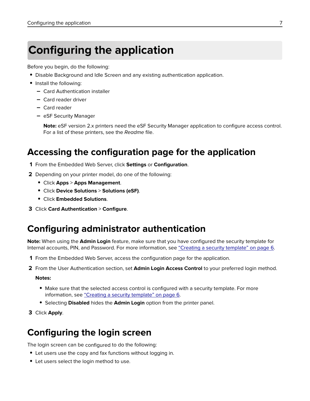# <span id="page-6-0"></span>**Configuring the application**

Before you begin, do the following:

- **•** Disable Background and Idle Screen and any existing authentication application.
- **•** Install the following:
	- **–** Card Authentication installer
	- **–** Card reader driver
	- **–** Card reader
	- **–** eSF Security Manager

**Note:** eSF version 2.x printers need the eSF Security Manager application to configure access control. For a list of these printers, see the Readme file.

### **Accessing the configuration page for the application**

- **1** From the Embedded Web Server, click **Settings** or **Configuration**.
- **2** Depending on your printer model, do one of the following:
	- **•** Click **Apps** > **Apps Management**.
	- **•** Click **Device Solutions** > **Solutions (eSF)**.
	- **•** Click **Embedded Solutions**.
- **3** Click **Card Authentication** > **Configure**.

# **Configuring administrator authentication**

**Note:** When using the **Admin Login** feature, make sure that you have configured the security template for Internal accounts, PIN, and Password. For more information, see ["Creating a security template" on page 6](#page-5-0).

- **1** From the Embedded Web Server, access the configuration page for the application.
- **2** From the User Authentication section, set **Admin Login Access Control** to your preferred login method.

#### **Notes:**

- Make sure that the selected access control is configured with a security template. For more information, see ["Creating a security template" on page 6.](#page-5-0)
- **•** Selecting **Disabled** hides the **Admin Login** option from the printer panel.
- **3** Click **Apply**.

# **Configuring the login screen**

The login screen can be configured to do the following:

- **•** Let users use the copy and fax functions without logging in.
- **•** Let users select the login method to use.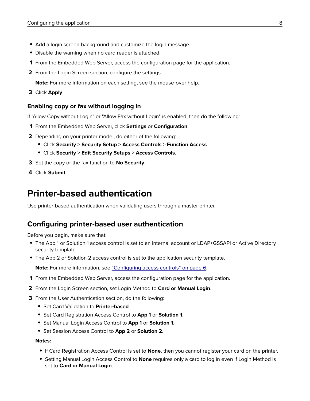- <span id="page-7-0"></span>**•** Add a login screen background and customize the login message.
- **•** Disable the warning when no card reader is attached.
- **1** From the Embedded Web Server, access the configuration page for the application.
- **2** From the Login Screen section, configure the settings.

**Note:** For more information on each setting, see the mouse-over help.

**3** Click **Apply**.

#### **Enabling copy or fax without logging in**

If "Allow Copy without Login" or "Allow Fax without Login" is enabled, then do the following:

- **1** From the Embedded Web Server, click **Settings** or **Configuration**.
- **2** Depending on your printer model, do either of the following:
	- **•** Click **Security** > **Security Setup** > **Access Controls** > **Function Access**.
	- **•** Click **Security** > **Edit Security Setups** > **Access Controls**.
- **3** Set the copy or the fax function to **No Security**.
- **4** Click **Submit**.

## **Printer-based authentication**

Use printer-based authentication when validating users through a master printer.

### **Configuring printer**‑**based user authentication**

Before you begin, make sure that:

- **•** The App 1 or Solution 1 access control is set to an internal account or LDAP+GSSAPI or Active Directory security template.
- **•** The App 2 or Solution 2 access control is set to the application security template.

**Note:** For more information, see ["Configuring access controls" on page 6](#page-5-0).

- **1** From the Embedded Web Server, access the configuration page for the application.
- **2** From the Login Screen section, set Login Method to **Card or Manual Login**.
- **3** From the User Authentication section, do the following:
	- **•** Set Card Validation to **Printer**‑**based**.
	- **•** Set Card Registration Access Control to **App 1** or **Solution 1**.
	- **•** Set Manual Login Access Control to **App 1** or **Solution 1**.
	- **•** Set Session Access Control to **App 2** or **Solution 2**.

#### **Notes:**

- **•** If Card Registration Access Control is set to **None**, then you cannot register your card on the printer.
- **•** Setting Manual Login Access Control to **None** requires only a card to log in even if Login Method is set to **Card or Manual Login**.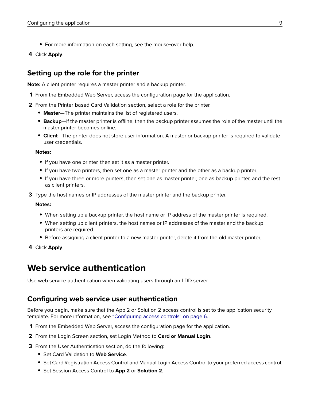- <span id="page-8-0"></span>**•** For more information on each setting, see the mouse-over help.
- **4** Click **Apply**.

### **Setting up the role for the printer**

**Note:** A client printer requires a master printer and a backup printer.

- **1** From the Embedded Web Server, access the configuration page for the application.
- **2** From the Printer-based Card Validation section, select a role for the printer.
	- **• Master**—The printer maintains the list of registered users.
	- **• Backup**—If the master printer is offline, then the backup printer assumes the role of the master until the master printer becomes online.
	- **• Client**—The printer does not store user information. A master or backup printer is required to validate user credentials.

#### **Notes:**

- **•** If you have one printer, then set it as a master printer.
- **•** If you have two printers, then set one as a master printer and the other as a backup printer.
- **•** If you have three or more printers, then set one as master printer, one as backup printer, and the rest as client printers.
- **3** Type the host names or IP addresses of the master printer and the backup printer.

#### **Notes:**

- **•** When setting up a backup printer, the host name or IP address of the master printer is required.
- **•** When setting up client printers, the host names or IP addresses of the master and the backup printers are required.
- **•** Before assigning a client printer to a new master printer, delete it from the old master printer.
- **4** Click **Apply**.

### **Web service authentication**

Use web service authentication when validating users through an LDD server.

#### **Configuring web service user authentication**

Before you begin, make sure that the App 2 or Solution 2 access control is set to the application security template. For more information, see ["Configuring access controls" on page 6.](#page-5-0)

- **1** From the Embedded Web Server, access the configuration page for the application.
- **2** From the Login Screen section, set Login Method to **Card or Manual Login**.
- **3** From the User Authentication section, do the following:
	- **•** Set Card Validation to **Web Service**.
	- **•** Set Card Registration Access Control and Manual Login Access Control to your preferred access control.
	- **•** Set Session Access Control to **App 2** or **Solution 2**.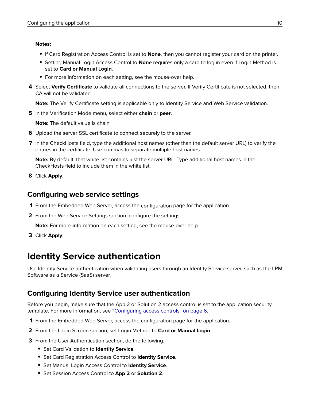#### <span id="page-9-0"></span>**Notes:**

- **•** If Card Registration Access Control is set to **None**, then you cannot register your card on the printer.
- **•** Setting Manual Login Access Control to **None** requires only a card to log in even if Login Method is set to **Card or Manual Login**.
- For more information on each setting, see the mouse-over help.
- **4** Select **Verify Certificate** to validate all connections to the server. If Verify Certificate is not selected, then CA will not be validated.

**Note:** The Verify Certificate setting is applicable only to Identity Service and Web Service validation.

**5** In the Verification Mode menu, select either **chain** or **peer**.

**Note:** The default value is chain.

- **6** Upload the server SSL certificate to connect securely to the server.
- **7** In the CheckHosts field, type the additional host names (other than the default server URL) to verify the entries in the certificate. Use commas to separate multiple host names.

**Note:** By default, that white list contains just the server URL. Type additional host names in the CheckHosts field to include them in the white list.

**8** Click **Apply**.

### **Configuring web service settings**

- **1** From the Embedded Web Server, access the configuration page for the application.
- **2** From the Web Service Settings section, configure the settings.

**Note:** For more information on each setting, see the mouse-over help.

**3** Click **Apply**.

# **Identity Service authentication**

Use Identity Service authentication when validating users through an Identity Service server, such as the LPM Software as a Service (SaaS) server.

### **Configuring Identity Service user authentication**

Before you begin, make sure that the App 2 or Solution 2 access control is set to the application security template. For more information, see ["Configuring access controls" on page 6.](#page-5-0)

- **1** From the Embedded Web Server, access the configuration page for the application.
- **2** From the Login Screen section, set Login Method to **Card or Manual Login**.
- **3** From the User Authentication section, do the following:
	- **•** Set Card Validation to **Identity Service**.
	- **•** Set Card Registration Access Control to **Identity Service**.
	- **•** Set Manual Login Access Control to **Identity Service**.
	- **•** Set Session Access Control to **App 2** or **Solution 2**.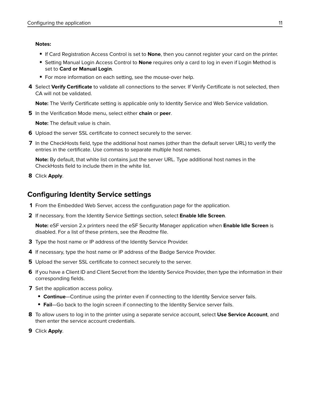#### <span id="page-10-0"></span>**Notes:**

- **•** If Card Registration Access Control is set to **None**, then you cannot register your card on the printer.
- **•** Setting Manual Login Access Control to **None** requires only a card to log in even if Login Method is set to **Card or Manual Login**.
- For more information on each setting, see the mouse-over help.
- **4** Select **Verify Certificate** to validate all connections to the server. If Verify Certificate is not selected, then CA will not be validated.

**Note:** The Verify Certificate setting is applicable only to Identity Service and Web Service validation.

**5** In the Verification Mode menu, select either **chain** or **peer**.

**Note:** The default value is chain.

- **6** Upload the server SSL certificate to connect securely to the server.
- **7** In the CheckHosts field, type the additional host names (other than the default server URL) to verify the entries in the certificate. Use commas to separate multiple host names.

**Note:** By default, that white list contains just the server URL. Type additional host names in the CheckHosts field to include them in the white list.

**8** Click **Apply**.

#### **Configuring Identity Service settings**

- **1** From the Embedded Web Server, access the configuration page for the application.
- **2** If necessary, from the Identity Service Settings section, select **Enable Idle Screen**.

**Note:** eSF version 2.x printers need the eSF Security Manager application when **Enable Idle Screen** is disabled. For a list of these printers, see the Readme file.

- **3** Type the host name or IP address of the Identity Service Provider.
- **4** If necessary, type the host name or IP address of the Badge Service Provider.
- **5** Upload the server SSL certificate to connect securely to the server.
- **6** If you have a Client ID and Client Secret from the Identity Service Provider, then type the information in their corresponding fields.
- **7** Set the application access policy.
	- **• Continue**—Continue using the printer even if connecting to the Identity Service server fails.
	- **• Fail**—Go back to the login screen if connecting to the Identity Service server fails.
- **8** To allow users to log in to the printer using a separate service account, select **Use Service Account**, and then enter the service account credentials.
- **9** Click **Apply**.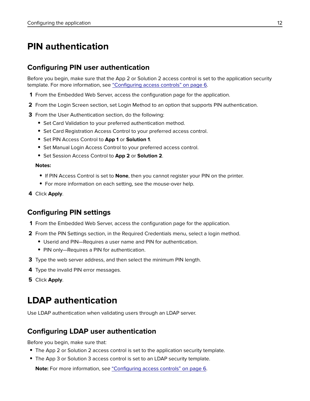## <span id="page-11-0"></span>**PIN authentication**

### **Configuring PIN user authentication**

Before you begin, make sure that the App 2 or Solution 2 access control is set to the application security template. For more information, see ["Configuring access controls" on page 6.](#page-5-0)

- **1** From the Embedded Web Server, access the configuration page for the application.
- **2** From the Login Screen section, set Login Method to an option that supports PIN authentication.
- **3** From the User Authentication section, do the following:
	- **•** Set Card Validation to your preferred authentication method.
	- **•** Set Card Registration Access Control to your preferred access control.
	- **•** Set PIN Access Control to **App 1** or **Solution 1**.
	- **•** Set Manual Login Access Control to your preferred access control.
	- **•** Set Session Access Control to **App 2** or **Solution 2**.

#### **Notes:**

- **•** If PIN Access Control is set to **None**, then you cannot register your PIN on the printer.
- **•** For more information on each setting, see the mouse-over help.
- **4** Click **Apply**.

### **Configuring PIN settings**

- **1** From the Embedded Web Server, access the configuration page for the application.
- **2** From the PIN Settings section, in the Required Credentials menu, select a login method.
	- **•** Userid and PIN—Requires a user name and PIN for authentication.
	- **•** PIN only—Requires a PIN for authentication.
- **3** Type the web server address, and then select the minimum PIN length.
- **4** Type the invalid PIN error messages.
- **5** Click **Apply**.

# **LDAP authentication**

Use LDAP authentication when validating users through an LDAP server.

### **Configuring LDAP user authentication**

Before you begin, make sure that:

- **•** The App 2 or Solution 2 access control is set to the application security template.
- **•** The App 3 or Solution 3 access control is set to an LDAP security template.

**Note:** For more information, see ["Configuring access controls" on page 6](#page-5-0).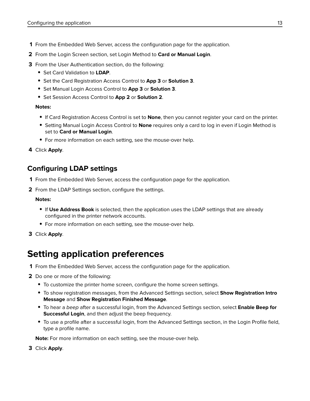- <span id="page-12-0"></span>**1** From the Embedded Web Server, access the configuration page for the application.
- **2** From the Login Screen section, set Login Method to **Card or Manual Login**.
- **3** From the User Authentication section, do the following:
	- **•** Set Card Validation to **LDAP**.
	- **•** Set the Card Registration Access Control to **App 3** or **Solution 3**.
	- **•** Set Manual Login Access Control to **App 3** or **Solution 3**.
	- **•** Set Session Access Control to **App 2** or **Solution 2**.

#### **Notes:**

- **•** If Card Registration Access Control is set to **None**, then you cannot register your card on the printer.
- **•** Setting Manual Login Access Control to **None** requires only a card to log in even if Login Method is set to **Card or Manual Login**.
- For more information on each setting, see the mouse-over help.
- **4** Click **Apply**.

### **Configuring LDAP settings**

- **1** From the Embedded Web Server, access the configuration page for the application.
- **2** From the LDAP Settings section, configure the settings.

#### **Notes:**

- **•** If **Use Address Book** is selected, then the application uses the LDAP settings that are already configured in the printer network accounts.
- **•** For more information on each setting, see the mouse‑over help.
- **3** Click **Apply**.

## **Setting application preferences**

- **1** From the Embedded Web Server, access the configuration page for the application.
- **2** Do one or more of the following:
	- **•** To customize the printer home screen, configure the home screen settings.
	- **•** To show registration messages, from the Advanced Settings section, select **Show Registration Intro Message** and **Show Registration Finished Message**.
	- **•** To hear a beep after a successful login, from the Advanced Settings section, select **Enable Beep for Successful Login**, and then adjust the beep frequency.
	- **•** To use a profile after a successful login, from the Advanced Settings section, in the Login Profile field, type a profile name.

**Note:** For more information on each setting, see the mouse-over help.

**3** Click **Apply**.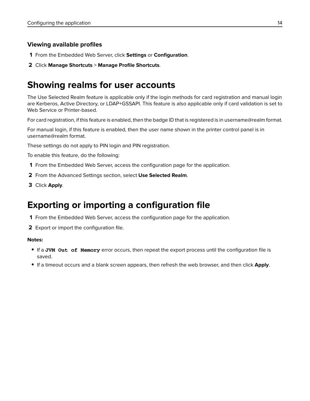#### <span id="page-13-0"></span>**Viewing available profiles**

- **1** From the Embedded Web Server, click **Settings** or **Configuration**.
- **2** Click **Manage Shortcuts** > **Manage Profile Shortcuts**.

# **Showing realms for user accounts**

The Use Selected Realm feature is applicable only if the login methods for card registration and manual login are Kerberos, Active Directory, or LDAP+GSSAPI. This feature is also applicable only if card validation is set to Web Service or Printer-based.

For card registration, if this feature is enabled, then the badge ID that is registered is in username@realm format.

For manual login, if this feature is enabled, then the user name shown in the printer control panel is in username@realm format.

These settings do not apply to PIN login and PIN registration.

To enable this feature, do the following:

- **1** From the Embedded Web Server, access the configuration page for the application.
- **2** From the Advanced Settings section, select **Use Selected Realm**.
- **3** Click **Apply**.

# **Exporting or importing a configuration file**

- **1** From the Embedded Web Server, access the configuration page for the application.
- **2** Export or import the configuration file.

#### **Notes:**

- **•** If a **JVM Out of Memory** error occurs, then repeat the export process until the configuration file is saved.
- **•** If a timeout occurs and a blank screen appears, then refresh the web browser, and then click **Apply**.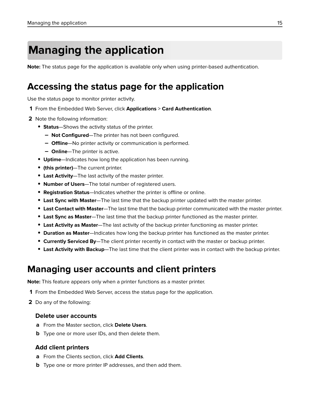# <span id="page-14-0"></span>**Managing the application**

**Note:** The status page for the application is available only when using printer-based authentication.

## **Accessing the status page for the application**

Use the status page to monitor printer activity.

- **1** From the Embedded Web Server, click **Applications** > **Card Authentication**.
- **2** Note the following information:
	- **• Status**—Shows the activity status of the printer.
		- **– Not Configured**—The printer has not been configured.
		- **– Offline**—No printer activity or communication is performed.
		- **– Online**—The printer is active.
	- **• Uptime**—Indicates how long the application has been running.
	- **• (this printer)**—The current printer.
	- **• Last Activity**—The last activity of the master printer.
	- **• Number of Users**—The total number of registered users.
	- **• Registration Status**—Indicates whether the printer is offline or online.
	- **• Last Sync with Master**—The last time that the backup printer updated with the master printer.
	- **• Last Contact with Master**—The last time that the backup printer communicated with the master printer.
	- **• Last Sync as Master**—The last time that the backup printer functioned as the master printer.
	- **• Last Activity as Master**—The last activity of the backup printer functioning as master printer.
	- **• Duration as Master**—Indicates how long the backup printer has functioned as the master printer.
	- **• Currently Serviced By**—The client printer recently in contact with the master or backup printer.
	- **• Last Activity with Backup**—The last time that the client printer was in contact with the backup printer.

## **Managing user accounts and client printers**

**Note:** This feature appears only when a printer functions as a master printer.

- **1** From the Embedded Web Server, access the status page for the application.
- **2** Do any of the following:

#### **Delete user accounts**

- **a** From the Master section, click **Delete Users**.
- **b** Type one or more user IDs, and then delete them.

#### **Add client printers**

- **a** From the Clients section, click **Add Clients**.
- **b** Type one or more printer IP addresses, and then add them.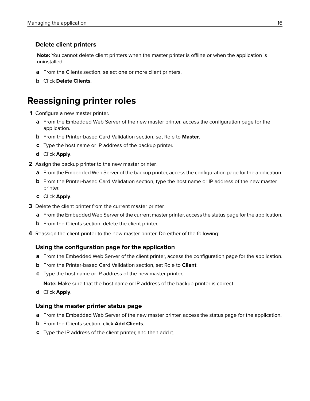#### <span id="page-15-0"></span>**Delete client printers**

**Note:** You cannot delete client printers when the master printer is offline or when the application is uninstalled.

- **a** From the Clients section, select one or more client printers.
- **b** Click **Delete Clients**.

## **Reassigning printer roles**

- **1** Configure a new master printer.
	- **a** From the Embedded Web Server of the new master printer, access the configuration page for the application.
	- **b** From the Printer‑based Card Validation section, set Role to **Master**.
	- **c** Type the host name or IP address of the backup printer.
	- **d** Click **Apply**.
- **2** Assign the backup printer to the new master printer.
	- **a** From the Embedded Web Server of the backup printer, access the configuration page for the application.
	- **b** From the Printer-based Card Validation section, type the host name or IP address of the new master printer.
	- **c** Click **Apply**.
- **3** Delete the client printer from the current master printer.
	- **a** From the Embedded Web Server of the current master printer, access the status page for the application.
	- **b** From the Clients section, delete the client printer.
- **4** Reassign the client printer to the new master printer. Do either of the following:

#### **Using the configuration page for the application**

- **a** From the Embedded Web Server of the client printer, access the configuration page for the application.
- **b** From the Printer-based Card Validation section, set Role to **Client**.
- **c** Type the host name or IP address of the new master printer.

**Note:** Make sure that the host name or IP address of the backup printer is correct.

**d** Click **Apply**.

#### **Using the master printer status page**

- **a** From the Embedded Web Server of the new master printer, access the status page for the application.
- **b** From the Clients section, click **Add Clients**.
- **c** Type the IP address of the client printer, and then add it.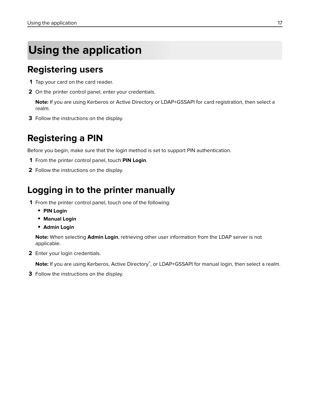# <span id="page-16-0"></span>**Using the application**

## **Registering users**

- **1** Tap your card on the card reader.
- **2** On the printer control panel, enter your credentials.

**Note:** If you are using Kerberos or Active Directory or LDAP+GSSAPI for card registration, then select a realm.

**3** Follow the instructions on the display.

## **Registering a PIN**

Before you begin, make sure that the login method is set to support PIN authentication.

- **1** From the printer control panel, touch **PIN Login**.
- **2** Follow the instructions on the display.

## **Logging in to the printer manually**

- **1** From the printer control panel, touch one of the following:
	- **• PIN Login**
	- **• Manual Login**
	- **• Admin Login**

**Note:** When selecting **Admin Login**, retrieving other user information from the LDAP server is not applicable.

**2** Enter your login credentials.

**Note:** If you are using Kerberos, Active Directory<sup>®</sup>, or LDAP+GSSAPI for manual login, then select a realm.

**3** Follow the instructions on the display.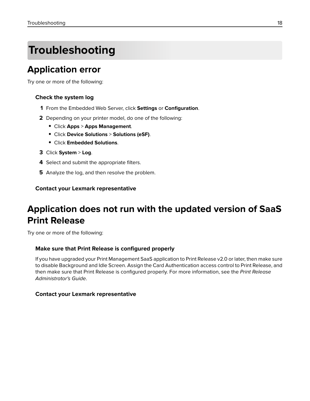# <span id="page-17-0"></span>**Troubleshooting**

# **Application error**

Try one or more of the following:

#### **Check the system log**

- **1** From the Embedded Web Server, click **Settings** or **Configuration**.
- **2** Depending on your printer model, do one of the following:
	- **•** Click **Apps** > **Apps Management**.
	- **•** Click **Device Solutions** > **Solutions (eSF)**.
	- **•** Click **Embedded Solutions**.
- **3** Click **System** > **Log**.
- **4** Select and submit the appropriate filters.
- **5** Analyze the log, and then resolve the problem.

#### **Contact your Lexmark representative**

# **Application does not run with the updated version of SaaS Print Release**

Try one or more of the following:

#### **Make sure that Print Release is configured properly**

If you have upgraded your Print Management SaaS application to Print Release v2.0 or later, then make sure to disable Background and Idle Screen. Assign the Card Authentication access control to Print Release, and then make sure that Print Release is configured properly. For more information, see the Print Release Administrator's Guide.

#### **Contact your Lexmark representative**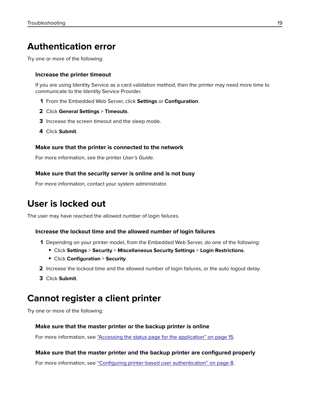## <span id="page-18-0"></span>**Authentication error**

Try one or more of the following:

#### **Increase the printer timeout**

If you are using Identity Service as a card validation method, then the printer may need more time to communicate to the Identity Service Provider.

- **1** From the Embedded Web Server, click **Settings** or **Configuration**.
- **2** Click **General Settings** > **Timeouts**.
- **3** Increase the screen timeout and the sleep mode.
- **4** Click **Submit**.

#### **Make sure that the printer is connected to the network**

For more information, see the printer User's Guide.

#### **Make sure that the security server is online and is not busy**

For more information, contact your system administrator.

# **User is locked out**

The user may have reached the allowed number of login failures.

#### **Increase the lockout time and the allowed number of login failures**

- **1** Depending on your printer model, from the Embedded Web Server, do one of the following:
	- **•** Click **Settings** > **Security** > **Miscellaneous Security Settings** > **Login Restrictions**.
	- **•** Click **Configuration** > **Security**.
- **2** Increase the lockout time and the allowed number of login failures, or the auto logout delay.
- **3** Click **Submit**.

## **Cannot register a client printer**

Try one or more of the following:

#### **Make sure that the master printer or the backup printer is online**

For more information, see ["Accessing the status page for the application" on page 15](#page-14-0).

#### **Make sure that the master printer and the backup printer are configured properly**

For more information, see "Configuring printer-[based user authentication" on page 8](#page-7-0).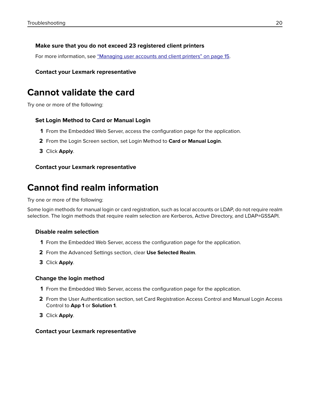#### <span id="page-19-0"></span>**Make sure that you do not exceed 23 registered client printers**

For more information, see ["Managing user accounts and client printers" on page 15](#page-14-0).

#### **Contact your Lexmark representative**

### **Cannot validate the card**

Try one or more of the following:

#### **Set Login Method to Card or Manual Login**

- **1** From the Embedded Web Server, access the configuration page for the application.
- **2** From the Login Screen section, set Login Method to **Card or Manual Login**.
- **3** Click **Apply**.

#### **Contact your Lexmark representative**

### **Cannot find realm information**

Try one or more of the following:

Some login methods for manual login or card registration, such as local accounts or LDAP, do not require realm selection. The login methods that require realm selection are Kerberos, Active Directory, and LDAP+GSSAPI.

#### **Disable realm selection**

- **1** From the Embedded Web Server, access the configuration page for the application.
- **2** From the Advanced Settings section, clear **Use Selected Realm**.
- **3** Click **Apply**.

#### **Change the login method**

- **1** From the Embedded Web Server, access the configuration page for the application.
- **2** From the User Authentication section, set Card Registration Access Control and Manual Login Access Control to **App 1** or **Solution 1**.
- **3** Click **Apply**.

#### **Contact your Lexmark representative**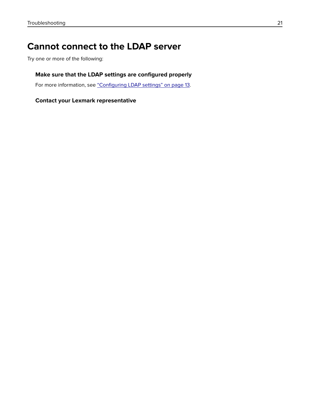# <span id="page-20-0"></span>**Cannot connect to the LDAP server**

Try one or more of the following:

#### **Make sure that the LDAP settings are configured properly**

For more information, see ["Configuring LDAP settings" on page 13.](#page-12-0)

#### **Contact your Lexmark representative**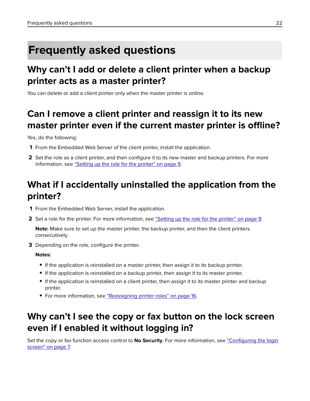# <span id="page-21-0"></span>**Frequently asked questions**

# **Why can't I add or delete a client printer when a backup printer acts as a master printer?**

You can delete or add a client printer only when the master printer is online.

# **Can I remove a client printer and reassign it to its new master printer even if the current master printer is offline?**

Yes, do the following:

- **1** From the Embedded Web Server of the client printer, install the application.
- **2** Set the role as a client printer, and then configure it to its new master and backup printers. For more information, see ["Setting up the role for the printer" on page 9](#page-8-0).

# **What if I accidentally uninstalled the application from the printer?**

- **1** From the Embedded Web Server, install the application.
- **2** Set a role for the printer. For more information, see ["Setting up the role for the printer" on page 9.](#page-8-0)

**Note:** Make sure to set up the master printer, the backup printer, and then the client printers consecutively.

**3** Depending on the role, configure the printer.

**Notes:**

- **•** If the application is reinstalled on a master printer, then assign it to its backup printer.
- **•** If the application is reinstalled on a backup printer, then assign it to its master printer.
- **•** If the application is reinstalled on a client printer, then assign it to its master printer and backup printer.
- **•** For more information, see ["Reassigning printer roles" on page 16.](#page-15-0)

# **Why can't I see the copy or fax button on the lock screen even if I enabled it without logging in?**

Set the copy or fax function access control to **No Security**. For more information, see ["Configuring the login](#page-6-0) [screen" on page 7.](#page-6-0)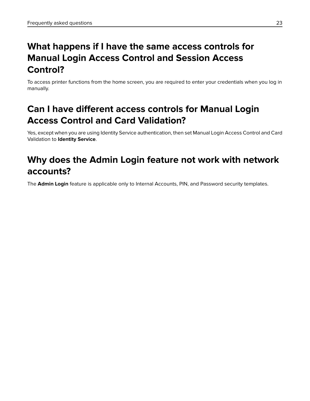# **What happens if I have the same access controls for Manual Login Access Control and Session Access Control?**

To access printer functions from the home screen, you are required to enter your credentials when you log in manually.

# **Can I have different access controls for Manual Login Access Control and Card Validation?**

Yes, except when you are using Identity Service authentication, then set Manual Login Access Control and Card Validation to **Identity Service**.

# **Why does the Admin Login feature not work with network accounts?**

The **Admin Login** feature is applicable only to Internal Accounts, PIN, and Password security templates.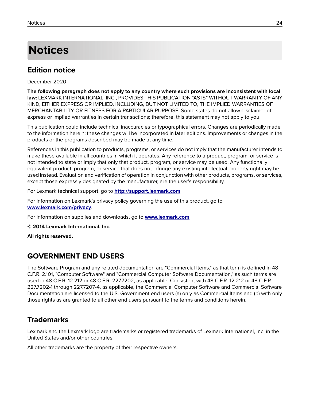# <span id="page-23-0"></span>**Notices**

### **Edition notice**

December 2020

**The following paragraph does not apply to any country where such provisions are inconsistent with local law:** LEXMARK INTERNATIONAL, INC., PROVIDES THIS PUBLICATION "AS IS" WITHOUT WARRANTY OF ANY KIND, EITHER EXPRESS OR IMPLIED, INCLUDING, BUT NOT LIMITED TO, THE IMPLIED WARRANTIES OF MERCHANTABILITY OR FITNESS FOR A PARTICULAR PURPOSE. Some states do not allow disclaimer of express or implied warranties in certain transactions; therefore, this statement may not apply to you.

This publication could include technical inaccuracies or typographical errors. Changes are periodically made to the information herein; these changes will be incorporated in later editions. Improvements or changes in the products or the programs described may be made at any time.

References in this publication to products, programs, or services do not imply that the manufacturer intends to make these available in all countries in which it operates. Any reference to a product, program, or service is not intended to state or imply that only that product, program, or service may be used. Any functionally equivalent product, program, or service that does not infringe any existing intellectual property right may be used instead. Evaluation and verification of operation in conjunction with other products, programs, or services, except those expressly designated by the manufacturer, are the user's responsibility.

For Lexmark technical support, go to **<http://support.lexmark.com>**.

For information on Lexmark's privacy policy governing the use of this product, go to **[www.lexmark.com/privacy](http://www.lexmark.com/privacy)**.

For information on supplies and downloads, go to **[www.lexmark.com](http://www.lexmark.com)**.

**© 2014 Lexmark International, Inc.**

**All rights reserved.**

### **GOVERNMENT END USERS**

The Software Program and any related documentation are "Commercial Items," as that term is defined in 48 C.F.R. 2.101, "Computer Software" and "Commercial Computer Software Documentation," as such terms are used in 48 C.F.R. 12.212 or 48 C.F.R. 227.7202, as applicable. Consistent with 48 C.F.R. 12.212 or 48 C.F.R. 227.7202-1 through 227.7207-4, as applicable, the Commercial Computer Software and Commercial Software Documentation are licensed to the U.S. Government end users (a) only as Commercial Items and (b) with only those rights as are granted to all other end users pursuant to the terms and conditions herein.

### **Trademarks**

Lexmark and the Lexmark logo are trademarks or registered trademarks of Lexmark International, Inc. in the United States and/or other countries.

All other trademarks are the property of their respective owners.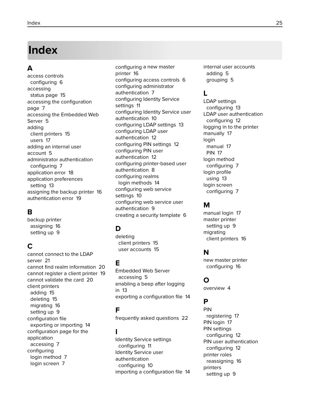# <span id="page-24-0"></span>**Index**

### **A**

access controls configuring [6](#page-5-0) accessing status page [15](#page-14-0) accessing the configuration page [7](#page-6-0) accessing the Embedded Web Server [5](#page-4-0) adding client printers [15](#page-14-0) users [17](#page-16-0) adding an internal user account [5](#page-4-0) administrator authentication configuring [7](#page-6-0) application error [18](#page-17-0) application preferences setting [13](#page-12-0) assigning the backup printer [16](#page-15-0) authentication error [19](#page-18-0)

### **B**

backup printer assigning [16](#page-15-0) setting up [9](#page-8-0)

### **C**

cannot connect to the LDAP server [21](#page-20-0) cannot find realm information [20](#page-19-0) cannot register a client printer [19](#page-18-0) cannot validate the card [20](#page-19-0) client printers adding [15](#page-14-0) deleting [15](#page-14-0) migrating [16](#page-15-0) setting up [9](#page-8-0) configuration file exporting or importing [14](#page-13-0) configuration page for the application accessing [7](#page-6-0) configuring login method [7](#page-6-0) login screen [7](#page-6-0)

configuring a new master printer [16](#page-15-0) configuring access controls [6](#page-5-0) configuring administrator authentication [7](#page-6-0) configuring Identity Service settings [11](#page-10-0) configuring Identity Service user authentication [10](#page-9-0) configuring LDAP settings [13](#page-12-0) configuring LDAP user authentication [12](#page-11-0) configuring PIN settings [12](#page-11-0) configuring PIN user authentication [12](#page-11-0) configuring printer‑based user authentication [8](#page-7-0) configuring realms login methods [14](#page-13-0) configuring web service settings [10](#page-9-0) configuring web service user authentication [9](#page-8-0) creating a security template [6](#page-5-0)

### **D**

deleting client printers [15](#page-14-0) user accounts [15](#page-14-0)

### **E**

Embedded Web Server accessing [5](#page-4-0) enabling a beep after logging in [13](#page-12-0) exporting a configuration file [14](#page-13-0)

### **F**

frequently asked questions [22](#page-21-0)

### **I**

Identity Service settings configuring [11](#page-10-0) Identity Service user authentication configuring [10](#page-9-0) importing a configuration file [14](#page-13-0) internal user accounts adding [5](#page-4-0) grouping [5](#page-4-0)

### **L**

LDAP settings configuring [13](#page-12-0) LDAP user authentication configuring [12](#page-11-0) logging in to the printer manually [17](#page-16-0) login manual [17](#page-16-0) PIN [17](#page-16-0) login method configuring [7](#page-6-0) login profile using [13](#page-12-0) login screen configuring [7](#page-6-0)

### **M**

manual login [17](#page-16-0) master printer setting up [9](#page-8-0) migrating client printers [16](#page-15-0)

### **N**

new master printer configuring [16](#page-15-0)

### **O**

overview [4](#page-3-0)

### **P**

PIN registering [17](#page-16-0) PIN login [17](#page-16-0) PIN settings configuring [12](#page-11-0) PIN user authentication configuring [12](#page-11-0) printer roles reassigning [16](#page-15-0) printers setting up [9](#page-8-0)